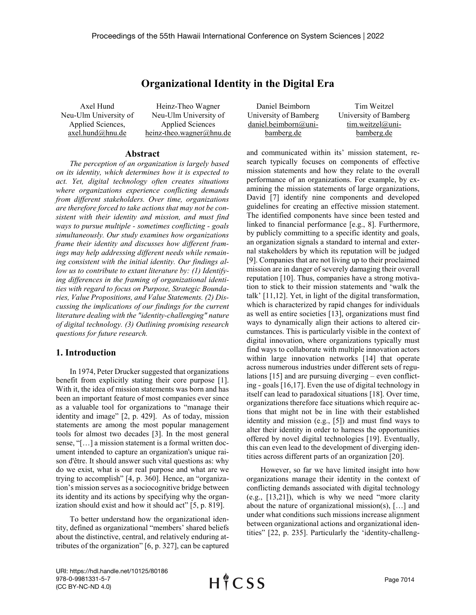# **Organizational Identity in the Digital Era**

Axel Hund Neu-Ulm University of Applied Sciences, axel.hund@hnu.de

Heinz-Theo Wagner Neu-Ulm University of Applied Sciences heinz-theo.wagner@hnu.de

#### **Abstract**

*The perception of an organization is largely based on its identity, which determines how it is expected to act. Yet, digital technology often creates situations where organizations experience conflicting demands from different stakeholders. Over time, organizations are therefore forced to take actions that may not be consistent with their identity and mission, and must find ways to pursue multiple - sometimes conflicting - goals simultaneously. Our study examines how organizations frame their identity and discusses how different framings may help addressing different needs while remaining consistent with the initial identity. Our findings allow us to contribute to extant literature by: (1) Identifying differences in the framing of organizational identities with regard to focus on Purpose, Strategic Boundaries, Value Propositions, and Value Statements. (2) Discussing the implications of our findings for the current literature dealing with the "identity-challenging" nature of digital technology. (3) Outlining promising research questions for future research.*

# **1. Introduction**

In 1974, Peter Drucker suggested that organizations benefit from explicitly stating their core purpose [1]. With it, the idea of mission statements was born and has been an important feature of most companies ever since as a valuable tool for organizations to "manage their identity and image" [2, p. 429]. As of today, mission statements are among the most popular management tools for almost two decades [3]. In the most general sense, "[…] a mission statement is a formal written document intended to capture an organization's unique raison d'être. It should answer such vital questions as: why do we exist, what is our real purpose and what are we trying to accomplish" [4, p. 360]. Hence, an "organization's mission serves as a sociocognitive bridge between its identity and its actions by specifying why the organization should exist and how it should act" [5, p. 819].

To better understand how the organizational identity, defined as organizational "members' shared beliefs about the distinctive, central, and relatively enduring attributes of the organization" [6, p. 327], can be captured

Daniel Beimborn University of Bamberg daniel.beimborn@unibamberg.de

Tim Weitzel University of Bamberg tim.weitzel@unibamberg.de

and communicated within its' mission statement, research typically focuses on components of effective mission statements and how they relate to the overall performance of an organizations. For example, by examining the mission statements of large organizations, David [7] identify nine components and developed guidelines for creating an effective mission statement. The identified components have since been tested and linked to financial performance [e.g., 8]. Furthermore, by publicly committing to a specific identity and goals, an organization signals a standard to internal and external stakeholders by which its reputation will be judged [9]. Companies that are not living up to their proclaimed mission are in danger of severely damaging their overall reputation [10]. Thus, companies have a strong motivation to stick to their mission statements and 'walk the talk' [11,12]. Yet, in light of the digital transformation, which is characterized by rapid changes for individuals as well as entire societies [13], organizations must find ways to dynamically align their actions to altered circumstances. This is particularly visible in the context of digital innovation, where organizations typically must find ways to collaborate with multiple innovation actors within large innovation networks [14] that operate across numerous industries under different sets of regulations [15] and are pursuing diverging – even conflicting - goals [16,17]. Even the use of digital technology in itself can lead to paradoxical situations [18]. Over time, organizations therefore face situations which require actions that might not be in line with their established identity and mission (e.g., [5]) and must find ways to alter their identity in order to harness the opportunities offered by novel digital technologies [19]. Eventually, this can even lead to the development of diverging identities across different parts of an organization [20].

However, so far we have limited insight into how organizations manage their identity in the context of conflicting demands associated with digital technology (e.g., [13,21]), which is why we need "more clarity about the nature of organizational mission(s), […] and under what conditions such missions increase alignment between organizational actions and organizational identities" [22, p. 235]. Particularly the 'identity-challeng-

URI: https://hdl.handle.net/10125/80186 978-0-9981331-5-7 (CC BY-NC-ND 4.0)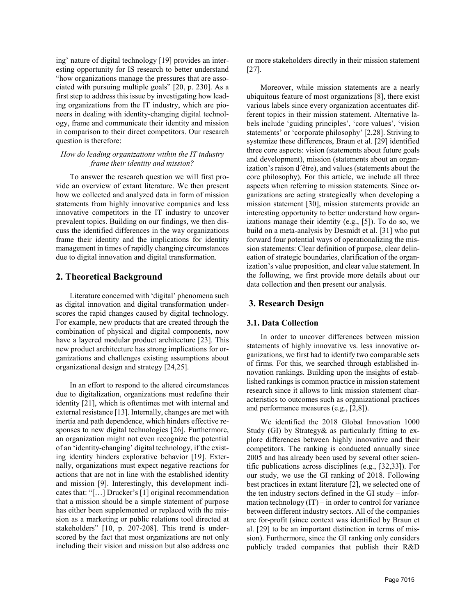ing' nature of digital technology [19] provides an interesting opportunity for IS research to better understand "how organizations manage the pressures that are associated with pursuing multiple goals" [20, p. 230]. As a first step to address this issue by investigating how leading organizations from the IT industry, which are pioneers in dealing with identity-changing digital technology, frame and communicate their identity and mission in comparison to their direct competitors. Our research question is therefore:

### *How do leading organizations within the IT industry frame their identity and mission?*

To answer the research question we will first provide an overview of extant literature. We then present how we collected and analyzed data in form of mission statements from highly innovative companies and less innovative competitors in the IT industry to uncover prevalent topics. Building on our findings, we then discuss the identified differences in the way organizations frame their identity and the implications for identity management in times of rapidly changing circumstances due to digital innovation and digital transformation.

## **2. Theoretical Background**

Literature concerned with 'digital' phenomena such as digital innovation and digital transformation underscores the rapid changes caused by digital technology. For example, new products that are created through the combination of physical and digital components, now have a layered modular product architecture [23]. This new product architecture has strong implications for organizations and challenges existing assumptions about organizational design and strategy [24,25].

In an effort to respond to the altered circumstances due to digitalization, organizations must redefine their identity [21], which is oftentimes met with internal and external resistance [13]. Internally, changes are met with inertia and path dependence, which hinders effective responses to new digital technologies [26]. Furthermore, an organization might not even recognize the potential of an 'identity-changing' digital technology, if the existing identity hinders explorative behavior [19]. Externally, organizations must expect negative reactions for actions that are not in line with the established identity and mission [9]. Interestingly, this development indicates that: "[…] Drucker's [1] original recommendation that a mission should be a simple statement of purpose has either been supplemented or replaced with the mission as a marketing or public relations tool directed at stakeholders" [10, p. 207-208]. This trend is underscored by the fact that most organizations are not only including their vision and mission but also address one

or more stakeholders directly in their mission statement [27].

Moreover, while mission statements are a nearly ubiquitous feature of most organizations [8], there exist various labels since every organization accentuates different topics in their mission statement. Alternative labels include 'guiding principles', 'core values', 'vision statements' or 'corporate philosophy' [2,28]. Striving to systemize these differences, Braun et al. [29] identified three core aspects: vision (statements about future goals and development), mission (statements about an organization's raison d´être), and values (statements about the core philosophy). For this article, we include all three aspects when referring to mission statements. Since organizations are acting strategically when developing a mission statement [30], mission statements provide an interesting opportunity to better understand how organizations manage their identity (e.g., [5]). To do so, we build on a meta-analysis by Desmidt et al. [31] who put forward four potential ways of operationalizing the mission statements: Clear definition of purpose, clear delineation of strategic boundaries, clarification of the organization's value proposition, and clear value statement. In the following, we first provide more details about our data collection and then present our analysis.

# **3. Research Design**

### **3.1. Data Collection**

In order to uncover differences between mission statements of highly innovative vs. less innovative organizations, we first had to identify two comparable sets of firms. For this, we searched through established innovation rankings. Building upon the insights of established rankings is common practice in mission statement research since it allows to link mission statement characteristics to outcomes such as organizational practices and performance measures (e.g., [2,8]).

We identified the 2018 Global Innovation 1000 Study (GI) by Strategy& as particularly fitting to explore differences between highly innovative and their competitors. The ranking is conducted annually since 2005 and has already been used by several other scientific publications across disciplines (e.g., [32,33]). For our study, we use the GI ranking of 2018. Following best practices in extant literature [2], we selected one of the ten industry sectors defined in the GI study – information technology  $(IT)$  – in order to control for variance between different industry sectors. All of the companies are for-profit (since context was identified by Braun et al. [29] to be an important distinction in terms of mission). Furthermore, since the GI ranking only considers publicly traded companies that publish their R&D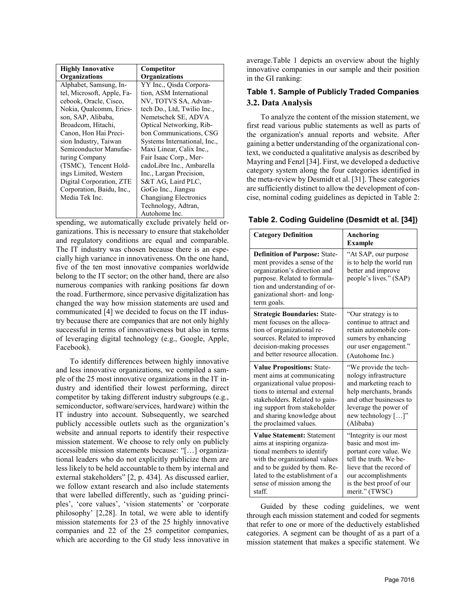| <b>Highly Innovative</b>   | Competitor                   |
|----------------------------|------------------------------|
| Organizations              | Organizations                |
| Alphabet, Samsung, In-     | YY Inc., Qisda Corpora-      |
| tel, Microsoft, Apple, Fa- | tion, ASM International      |
| cebook, Oracle, Cisco,     | NV, TOTVS SA, Advan-         |
| Nokia, Qualcomm, Erics-    | tech Do., Ltd, Twilio Inc.,  |
| son, SAP, Alibaba,         | Nemetschek SE, ADVA          |
| Broadcom, Hitachi,         | Optical Networking, Rib-     |
| Canon, Hon Hai Preci-      | bon Communications, CSG      |
| sion Industry, Taiwan      | Systems International, Inc., |
| Semiconductor Manufac-     | Maxi Linear, Calix Inc.,     |
| turing Company             | Fair Isaac Corp., Mer-       |
| (TSMC), Tencent Hold-      | cadoLibre Inc., Ambarella    |
| ings Limited, Western      | Inc., Largan Precision,      |
| Digital Corporation, ZTE   | S&T AG, Laird PLC,           |
| Corporation, Baidu, Inc.,  | GoGo Inc., Jiangsu           |
| Media Tek Inc.             | Changjiang Electronics       |
|                            | Technology, Adtran,          |
|                            | Autohome Inc.                |

spending, we automatically exclude privately held organizations. This is necessary to ensure that stakeholder and regulatory conditions are equal and comparable. The IT industry was chosen because there is an especially high variance in innovativeness. On the one hand, five of the ten most innovative companies worldwide belong to the IT sector; on the other hand, there are also numerous companies with ranking positions far down the road. Furthermore, since pervasive digitalization has changed the way how mission statements are used and communicated [4] we decided to focus on the IT industry because there are companies that are not only highly successful in terms of innovativeness but also in terms of leveraging digital technology (e.g., Google, Apple, Facebook).

To identify differences between highly innovative and less innovative organizations, we compiled a sample of the 25 most innovative organizations in the IT industry and identified their lowest performing, direct competitor by taking different industry subgroups (e.g., semiconductor, software/services, hardware) within the IT industry into account. Subsequently, we searched publicly accessible outlets such as the organization's website and annual reports to identify their respective mission statement. We choose to rely only on publicly accessible mission statements because: "[…] organizational leaders who do not explicitly publicize them are less likely to be held accountable to them by internal and external stakeholders" [2, p. 434]. As discussed earlier, we follow extant research and also include statements that were labelled differently, such as 'guiding principles', 'core values', 'vision statements' or 'corporate philosophy' [2,28]. In total, we were able to identify mission statements for 23 of the 25 highly innovative companies and 22 of the 25 competitor companies, which are according to the GI study less innovative in average.Table 1 depicts an overview about the highly innovative companies in our sample and their position in the GI ranking:

# **Table 1. Sample of Publicly Traded Companies 3.2. Data Analysis**

To analyze the content of the mission statement, we first read various public statements as well as parts of the organization's annual reports and website. After gaining a better understanding of the organizational context, we conducted a qualitative analysis as described by Mayring and Fenzl [34]. First, we developed a deductive category system along the four categories identified in the meta-review by Desmidt et al. [31]. These categories are sufficiently distinct to allow the development of concise, nominal coding guidelines as depicted in Table 2:

| Table 2. Coding Guideline (Desmidt et al. [34]) |  |  |  |
|-------------------------------------------------|--|--|--|
|-------------------------------------------------|--|--|--|

| <b>Category Definition</b>                                                                                                                                                                                            | Anchoring<br><b>Example</b>                                                                       |
|-----------------------------------------------------------------------------------------------------------------------------------------------------------------------------------------------------------------------|---------------------------------------------------------------------------------------------------|
| <b>Definition of Purpose: State-</b><br>ment provides a sense of the<br>organization's direction and<br>purpose. Related to formula-<br>tion and understanding of or-<br>ganizational short- and long-<br>term goals. | "At SAP, our purpose"<br>is to help the world run<br>better and improve<br>people's lives." (SAP) |
| <b>Strategic Boundaries: State-</b>                                                                                                                                                                                   | "Our strategy is to                                                                               |
| ment focuses on the alloca-                                                                                                                                                                                           | continue to attract and                                                                           |
| tion of organizational re-                                                                                                                                                                                            | retain automobile con-                                                                            |
| sources. Related to improved                                                                                                                                                                                          | sumers by enhancing                                                                               |
| decision-making processes                                                                                                                                                                                             | our user engagement."                                                                             |
| and better resource allocation.                                                                                                                                                                                       | (Autohome Inc.)                                                                                   |
| <b>Value Propositions: State-</b>                                                                                                                                                                                     | "We provide the tech-                                                                             |
| ment aims at communicating                                                                                                                                                                                            | nology infrastructure                                                                             |
| organizational value proposi-                                                                                                                                                                                         | and marketing reach to                                                                            |
| tions to internal and external                                                                                                                                                                                        | help merchants, brands                                                                            |
| stakeholders. Related to gain-                                                                                                                                                                                        | and other businesses to                                                                           |
| ing support from stakeholder                                                                                                                                                                                          | leverage the power of                                                                             |
| and sharing knowledge about                                                                                                                                                                                           | new technology $[\dots]$ "                                                                        |
| the proclaimed values.                                                                                                                                                                                                | (Alibaba)                                                                                         |
| <b>Value Statement: Statement</b>                                                                                                                                                                                     | "Integrity is our most                                                                            |
| aims at inspiring organiza-                                                                                                                                                                                           | basic and most im-                                                                                |
| tional members to identify                                                                                                                                                                                            | portant core value. We                                                                            |
| with the organizational values                                                                                                                                                                                        | tell the truth. We be-                                                                            |
| and to be guided by them. Re-                                                                                                                                                                                         | lieve that the record of                                                                          |
| lated to the establishment of a                                                                                                                                                                                       | our accomplishments                                                                               |
| sense of mission among the                                                                                                                                                                                            | is the best proof of our                                                                          |
| staff.                                                                                                                                                                                                                | merit." (TWSC)                                                                                    |

Guided by these coding guidelines, we went through each mission statement and coded for segments that refer to one or more of the deductively established categories. A segment can be thought of as a part of a mission statement that makes a specific statement. We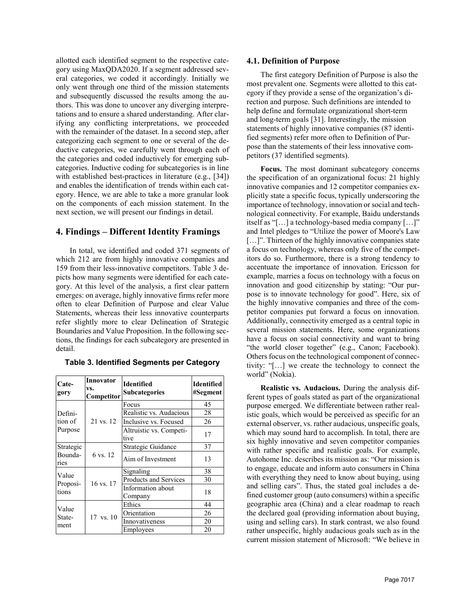allotted each identified segment to the respective category using MaxQDA2020. If a segment addressed several categories, we coded it accordingly. Initially we only went through one third of the mission statements and subsequently discussed the results among the authors. This was done to uncover any diverging interpretations and to ensure a shared understanding. After clarifying any conflicting interpretations, we proceeded with the remainder of the dataset. In a second step, after categorizing each segment to one or several of the deductive categories, we carefully went through each of the categories and coded inductively for emerging subcategories. Inductive coding for subcategories is in line with established best-practices in literature (e.g., [34]) and enables the identification of trends within each category. Hence, we are able to take a more granular look on the components of each mission statement. In the next section, we will present our findings in detail.

## **4. Findings – Different Identity Framings**

In total, we identified and coded 371 segments of which 212 are from highly innovative companies and 159 from their less-innovative competitors. Table 3 depicts how many segments were identified for each category. At this level of the analysis, a first clear pattern emerges: on average, highly innovative firms refer more often to clear Definition of Purpose and clear Value Statements, whereas their less innovative counterparts refer slightly more to clear Delineation of Strategic Boundaries and Value Proposition. In the following sections, the findings for each subcategory are presented in detail.

| Cate-<br>gory                 | Innovator<br>VS.<br>Competitor | <b>Identified</b><br><b>Subcategories</b> | Identified<br>#Segment |
|-------------------------------|--------------------------------|-------------------------------------------|------------------------|
| Defini-<br>tion of<br>Purpose | 21 vs. 12                      | Focus                                     | 45                     |
|                               |                                | Realistic vs. Audacious                   | 28                     |
|                               |                                | Inclusive vs. Focused                     | 26                     |
|                               |                                | Altruistic vs. Competi-<br>tive           | 17                     |
| Strategic                     | 6 vs. 12                       | Strategic Guidance                        | 37                     |
| Bounda-<br>ries               |                                | Aim of Investment                         | 13                     |
| Value                         |                                | Signaling                                 | 38                     |
| Proposi-<br>tions             | 16 vs. 17                      | Products and Services                     | 30                     |
|                               |                                | Information about                         | 18                     |
|                               |                                | Company                                   |                        |
| Value                         |                                | Ethics                                    | 44                     |
| State-<br>ment                | $17 \text{ vs. } 10$           | Orientation                               | 26                     |
|                               |                                | Innovativeness                            | 20                     |
|                               |                                | Employees                                 | 20                     |

**Table 3. Identified Segments per Category**

#### **4.1. Definition of Purpose**

The first category Definition of Purpose is also the most prevalent one. Segments were allotted to this category if they provide a sense of the organization's direction and purpose. Such definitions are intended to help define and formulate organizational short-term and long-term goals [31]. Interestingly, the mission statements of highly innovative companies (87 identified segments) refer more often to Definition of Purpose than the statements of their less innovative competitors (37 identified segments).

**Focus.** The most dominant subcategory concerns the specification of an organizational focus: 21 highly innovative companies and 12 competitor companies explicitly state a specific focus, typically underscoring the importance of technology, innovation or social and technological connectivity. For example, Baidu understands itself as "[…] a technology-based media company […]" and Intel pledges to "Utilize the power of Moore's Law [...]". Thirteen of the highly innovative companies state a focus on technology, whereas only five of the competitors do so. Furthermore, there is a strong tendency to accentuate the importance of innovation. Ericsson for example, marries a focus on technology with a focus on innovation and good citizenship by stating: "Our purpose is to innovate technology for good". Here, six of the highly innovative companies and three of the competitor companies put forward a focus on innovation. Additionally, connectivity emerged as a central topic in several mission statements. Here, some organizations have a focus on social connectivity and want to bring "the world closer together" (e.g., Canon; Facebook). Others focus on the technological component of connectivity: "[…] we create the technology to connect the world" (Nokia).

**Realistic vs. Audacious.** During the analysis different types of goals stated as part of the organizational purpose emerged. We differentiate between rather realistic goals, which would be perceived as specific for an external observer, vs. rather audacious, unspecific goals, which may sound hard to accomplish. In total, there are six highly innovative and seven competitor companies with rather specific and realistic goals. For example, Autohome Inc. describes its mission as: "Our mission is to engage, educate and inform auto consumers in China with everything they need to know about buying, using and selling cars". Thus, the stated goal includes a defined customer group (auto consumers) within a specific geographic area (China) and a clear roadmap to reach the declared goal (providing information about buying, using and selling cars). In stark contrast, we also found rather unspecific, highly audacious goals such as in the current mission statement of Microsoft: "We believe in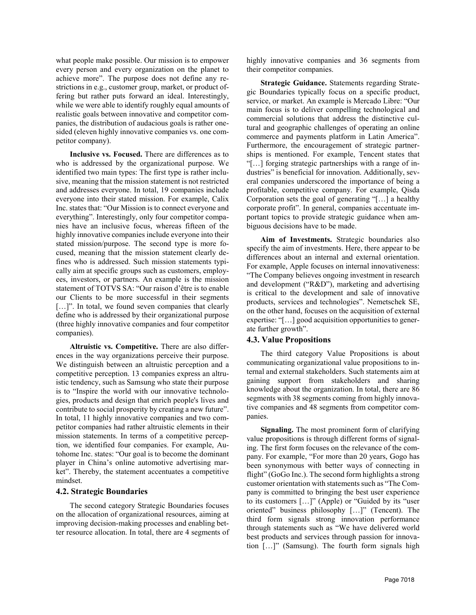what people make possible. Our mission is to empower every person and every organization on the planet to achieve more". The purpose does not define any restrictions in e.g., customer group, market, or product offering but rather puts forward an ideal. Interestingly, while we were able to identify roughly equal amounts of realistic goals between innovative and competitor companies, the distribution of audacious goals is rather onesided (eleven highly innovative companies vs. one competitor company).

**Inclusive vs. Focused.** There are differences as to who is addressed by the organizational purpose. We identified two main types: The first type is rather inclusive, meaning that the mission statement is not restricted and addresses everyone. In total, 19 companies include everyone into their stated mission. For example, Calix Inc. states that: "Our Mission is to connect everyone and everything". Interestingly, only four competitor companies have an inclusive focus, whereas fifteen of the highly innovative companies include everyone into their stated mission/purpose. The second type is more focused, meaning that the mission statement clearly defines who is addressed. Such mission statements typically aim at specific groups such as customers, employees, investors, or partners. An example is the mission statement of TOTVS SA: "Our raison d'être is to enable our Clients to be more successful in their segments [...]". In total, we found seven companies that clearly define who is addressed by their organizational purpose (three highly innovative companies and four competitor companies).

**Altruistic vs. Competitive.** There are also differences in the way organizations perceive their purpose. We distinguish between an altruistic perception and a competitive perception. 13 companies express an altruistic tendency, such as Samsung who state their purpose is to "Inspire the world with our innovative technologies, products and design that enrich people's lives and contribute to social prosperity by creating a new future". In total, 11 highly innovative companies and two competitor companies had rather altruistic elements in their mission statements. In terms of a competitive perception, we identified four companies. For example, Autohome Inc. states: "Our goal is to become the dominant player in China's online automotive advertising market". Thereby, the statement accentuates a competitive mindset.

#### **4.2. Strategic Boundaries**

The second category Strategic Boundaries focuses on the allocation of organizational resources, aiming at improving decision-making processes and enabling better resource allocation. In total, there are 4 segments of highly innovative companies and 36 segments from their competitor companies.

**Strategic Guidance.** Statements regarding Strategic Boundaries typically focus on a specific product, service, or market. An example is Mercado Libre: "Our main focus is to deliver compelling technological and commercial solutions that address the distinctive cultural and geographic challenges of operating an online commerce and payments platform in Latin America". Furthermore, the encouragement of strategic partnerships is mentioned. For example, Tencent states that "[…] forging strategic partnerships with a range of industries" is beneficial for innovation. Additionally, several companies underscored the importance of being a profitable, competitive company. For example, Qisda Corporation sets the goal of generating "[…] a healthy corporate profit". In general, companies accentuate important topics to provide strategic guidance when ambiguous decisions have to be made.

**Aim of Investments.** Strategic boundaries also specify the aim of investments. Here, there appear to be differences about an internal and external orientation. For example, Apple focuses on internal innovativeness: "The Company believes ongoing investment in research and development ("R&D"), marketing and advertising is critical to the development and sale of innovative products, services and technologies". Nemetschek SE, on the other hand, focuses on the acquisition of external expertise: "[…] good acquisition opportunities to generate further growth".

#### **4.3. Value Propositions**

The third category Value Propositions is about communicating organizational value propositions to internal and external stakeholders. Such statements aim at gaining support from stakeholders and sharing knowledge about the organization. In total, there are 86 segments with 38 segments coming from highly innovative companies and 48 segments from competitor companies.

**Signaling.** The most prominent form of clarifying value propositions is through different forms of signaling. The first form focuses on the relevance of the company. For example, "For more than 20 years, Gogo has been synonymous with better ways of connecting in flight" (GoGo Inc.). The second form highlights a strong customer orientation with statements such as "The Company is committed to bringing the best user experience to its customers […]" (Apple) or "Guided by its "user oriented" business philosophy […]" (Tencent). The third form signals strong innovation performance through statements such as "We have delivered world best products and services through passion for innovation […]" (Samsung). The fourth form signals high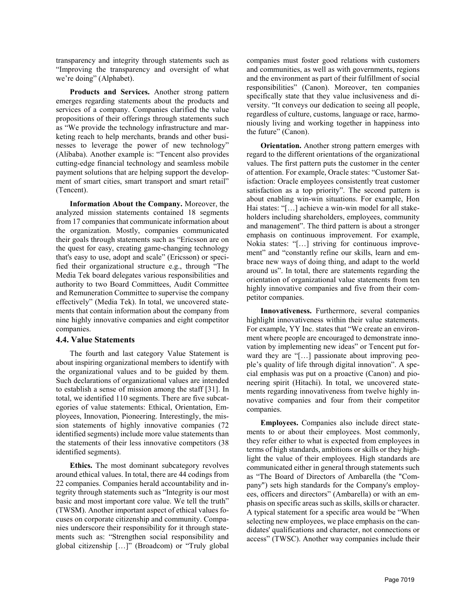transparency and integrity through statements such as "Improving the transparency and oversight of what we're doing" (Alphabet).

**Products and Services.** Another strong pattern emerges regarding statements about the products and services of a company. Companies clarified the value propositions of their offerings through statements such as "We provide the technology infrastructure and marketing reach to help merchants, brands and other businesses to leverage the power of new technology" (Alibaba). Another example is: "Tencent also provides cutting-edge financial technology and seamless mobile payment solutions that are helping support the development of smart cities, smart transport and smart retail" (Tencent).

**Information About the Company.** Moreover, the analyzed mission statements contained 18 segments from 17 companies that communicate information about the organization. Mostly, companies communicated their goals through statements such as "Ericsson are on the quest for easy, creating game-changing technology that's easy to use, adopt and scale" (Ericsson) or specified their organizational structure e.g., through "The Media Tek board delegates various responsibilities and authority to two Board Committees, Audit Committee and Remuneration Committee to supervise the company effectively" (Media Tek). In total, we uncovered statements that contain information about the company from nine highly innovative companies and eight competitor companies.

#### **4.4. Value Statements**

The fourth and last category Value Statement is about inspiring organizational members to identify with the organizational values and to be guided by them. Such declarations of organizational values are intended to establish a sense of mission among the staff [31]. In total, we identified 110 segments. There are five subcategories of value statements: Ethical, Orientation, Employees, Innovation, Pioneering. Interestingly, the mission statements of highly innovative companies (72 identified segments) include more value statements than the statements of their less innovative competitors (38 identified segments).

**Ethics.** The most dominant subcategory revolves around ethical values. In total, there are 44 codings from 22 companies. Companies herald accountability and integrity through statements such as "Integrity is our most basic and most important core value. We tell the truth" (TWSM). Another important aspect of ethical values focuses on corporate citizenship and community. Companies underscore their responsibility for it through statements such as: "Strengthen social responsibility and global citizenship […]" (Broadcom) or "Truly global companies must foster good relations with customers and communities, as well as with governments, regions and the environment as part of their fulfillment of social responsibilities" (Canon). Moreover, ten companies specifically state that they value inclusiveness and diversity. "It conveys our dedication to seeing all people, regardless of culture, customs, language or race, harmoniously living and working together in happiness into the future" (Canon).

**Orientation.** Another strong pattern emerges with regard to the different orientations of the organizational values. The first pattern puts the customer in the center of attention. For example, Oracle states: "Customer Satisfaction: Oracle employees consistently treat customer satisfaction as a top priority". The second pattern is about enabling win-win situations. For example, Hon Hai states: "[…] achieve a win-win model for all stakeholders including shareholders, employees, community and management". The third pattern is about a stronger emphasis on continuous improvement. For example, Nokia states: "[…] striving for continuous improvement" and "constantly refine our skills, learn and embrace new ways of doing thing, and adapt to the world around us". In total, there are statements regarding the orientation of organizational value statements from ten highly innovative companies and five from their competitor companies.

**Innovativeness.** Furthermore, several companies highlight innovativeness within their value statements. For example, YY Inc. states that "We create an environment where people are encouraged to demonstrate innovation by implementing new ideas" or Tencent put forward they are "[…] passionate about improving people's quality of life through digital innovation". A special emphasis was put on a proactive (Canon) and pioneering spirit (Hitachi). In total, we uncovered statements regarding innovativeness from twelve highly innovative companies and four from their competitor companies.

**Employees.** Companies also include direct statements to or about their employees. Most commonly, they refer either to what is expected from employees in terms of high standards, ambitions or skills or they highlight the value of their employees. High standards are communicated either in general through statements such as "The Board of Directors of Ambarella (the "Company") sets high standards for the Company's employees, officers and directors" (Ambarella) or with an emphasis on specific areas such as skills, skills or character. A typical statement for a specific area would be "When selecting new employees, we place emphasis on the candidates' qualifications and character, not connections or access" (TWSC). Another way companies include their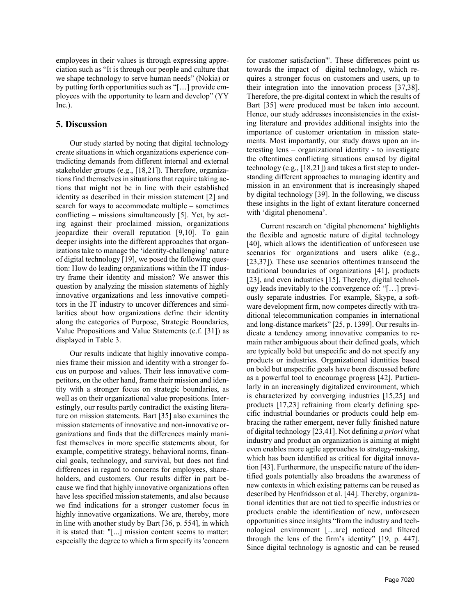employees in their values is through expressing appreciation such as "It is through our people and culture that we shape technology to serve human needs" (Nokia) or by putting forth opportunities such as "[…] provide employees with the opportunity to learn and develop" (YY Inc.).

# **5. Discussion**

Our study started by noting that digital technology create situations in which organizations experience contradicting demands from different internal and external stakeholder groups (e.g., [18,21]). Therefore, organizations find themselves in situations that require taking actions that might not be in line with their established identity as described in their mission statement [2] and search for ways to accommodate multiple – sometimes conflicting – missions simultaneously [5]. Yet, by acting against their proclaimed mission, organizations jeopardize their overall reputation [9,10]. To gain deeper insights into the different approaches that organizations take to manage the 'identity-challenging' nature of digital technology [19], we posed the following question: How do leading organizations within the IT industry frame their identity and mission? We answer this question by analyzing the mission statements of highly innovative organizations and less innovative competitors in the IT industry to uncover differences and similarities about how organizations define their identity along the categories of Purpose, Strategic Boundaries, Value Propositions and Value Statements (c.f. [31]) as displayed in Table 3.

Our results indicate that highly innovative companies frame their mission and identity with a stronger focus on purpose and values. Their less innovative competitors, on the other hand, frame their mission and identity with a stronger focus on strategic boundaries, as well as on their organizational value propositions. Interestingly, our results partly contradict the existing literature on mission statements. Bart [35] also examines the mission statements of innovative and non-innovative organizations and finds that the differences mainly manifest themselves in more specific statements about, for example, competitive strategy, behavioral norms, financial goals, technology, and survival, but does not find differences in regard to concerns for employees, shareholders, and customers. Our results differ in part because we find that highly innovative organizations often have less specified mission statements, and also because we find indications for a stronger customer focus in highly innovative organizations. We are, thereby, more in line with another study by Bart [36, p. 554], in which it is stated that: "[...] mission content seems to matter: especially the degree to which a firm specify its 'concern for customer satisfaction'". These differences point us towards the impact of digital technology, which requires a stronger focus on customers and users, up to their integration into the innovation process [37,38]. Therefore, the pre-digital context in which the results of Bart [35] were produced must be taken into account. Hence, our study addresses inconsistencies in the existing literature and provides additional insights into the importance of customer orientation in mission statements. Most importantly, our study draws upon an interesting lens – organizational identity - to investigate the oftentimes conflicting situations caused by digital technology (e.g., [18,21]) and takes a first step to understanding different approaches to managing identity and mission in an environment that is increasingly shaped by digital technology [39]. In the following, we discuss these insights in the light of extant literature concerned with 'digital phenomena'.

Current research on 'digital phenomena' highlights the flexible and agnostic nature of digital technology [40], which allows the identification of unforeseen use scenarios for organizations and users alike (e.g., [23,37]). These use scenarios oftentimes transcend the traditional boundaries of organizations [41], products [23], and even industries [15]. Thereby, digital technology leads inevitably to the convergence of: "[…] previously separate industries. For example, Skype, a software development firm, now competes directly with traditional telecommunication companies in international and long-distance markets" [25, p. 1399]. Our results indicate a tendency among innovative companies to remain rather ambiguous about their defined goals, which are typically bold but unspecific and do not specify any products or industries. Organizational identities based on bold but unspecific goals have been discussed before as a powerful tool to encourage progress [42]. Particularly in an increasingly digitalized environment, which is characterized by converging industries [15,25] and products [17,23] refraining from clearly defining specific industrial boundaries or products could help embracing the rather emergent, never fully finished nature of digital technology [23,41]. Not defining *a priori* what industry and product an organization is aiming at might even enables more agile approaches to strategy-making, which has been identified as critical for digital innovation [43]. Furthermore, the unspecific nature of the identified goals potentially also broadens the awareness of new contexts in which existing patterns can be reused as described by Henfridsson et al. [44]. Thereby, organizational identities that are not tied to specific industries or products enable the identification of new, unforeseen opportunities since insights "from the industry and technological environment […are] noticed and filtered through the lens of the firm's identity" [19, p. 447]. Since digital technology is agnostic and can be reused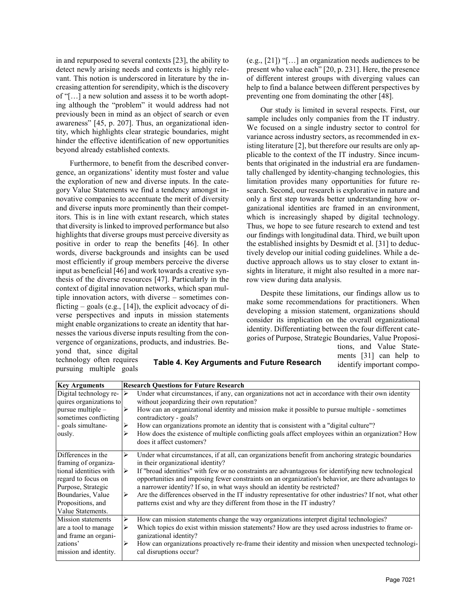in and repurposed to several contexts [23], the ability to detect newly arising needs and contexts is highly relevant. This notion is underscored in literature by the increasing attention for serendipity, which is the discovery of "[…] a new solution and assess it to be worth adopting although the "problem" it would address had not previously been in mind as an object of search or even awareness" [45, p. 207]. Thus, an organizational identity, which highlights clear strategic boundaries, might hinder the effective identification of new opportunities beyond already established contexts.

Furthermore, to benefit from the described convergence, an organizations' identity must foster and value the exploration of new and diverse inputs. In the category Value Statements we find a tendency amongst innovative companies to accentuate the merit of diversity and diverse inputs more prominently than their competitors. This is in line with extant research, which states that diversity is linked to improved performance but also highlights that diverse groups must perceive diversity as positive in order to reap the benefits [46]. In other words, diverse backgrounds and insights can be used most efficiently if group members perceive the diverse input as beneficial [46] and work towards a creative synthesis of the diverse resources [47]. Particularly in the context of digital innovation networks, which span multiple innovation actors, with diverse – sometimes conflicting – goals (e.g.,  $[14]$ ), the explicit advocacy of diverse perspectives and inputs in mission statements might enable organizations to create an identity that harnesses the various diverse inputs resulting from the convergence of organizations, products, and industries. Beyond that, since digital

(e.g., [21]) "[…] an organization needs audiences to be present who value each" [20, p. 231]. Here, the presence of different interest groups with diverging values can help to find a balance between different perspectives by preventing one from dominating the other [48].

Our study is limited in several respects. First, our sample includes only companies from the IT industry. We focused on a single industry sector to control for variance across industry sectors, as recommended in existing literature [2], but therefore our results are only applicable to the context of the IT industry. Since incumbents that originated in the industrial era are fundamentally challenged by identity-changing technologies, this limitation provides many opportunities for future research. Second, our research is explorative in nature and only a first step towards better understanding how organizational identities are framed in an environment, which is increasingly shaped by digital technology. Thus, we hope to see future research to extend and test our findings with longitudinal data. Third, we built upon the established insights by Desmidt et al. [31] to deductively develop our initial coding guidelines. While a deductive approach allows us to stay closer to extant insights in literature, it might also resulted in a more narrow view during data analysis.

Despite these limitations, our findings allow us to make some recommendations for practitioners. When developing a mission statement, organizations should consider its implication on the overall organizational identity. Differentiating between the four different categories of Purpose, Strategic Boundaries, Value Proposi-

technology often requires pursuing multiple goals

**Table 4. Key Arguments and Future Research**

tions, and Value Statements [31] can help to identify important compo-

| <b>Key Arguments</b>    | <b>Research Ouestions for Future Research</b>                                                                |
|-------------------------|--------------------------------------------------------------------------------------------------------------|
| Digital technology re-  | Under what circumstances, if any, can organizations not act in accordance with their own identity<br>∣⋟      |
| quires organizations to | without jeopardizing their own reputation?                                                                   |
| pursue multiple $-$     | How can an organizational identity and mission make it possible to pursue multiple - sometimes<br>➤          |
| sometimes conflicting   | contradictory - goals?                                                                                       |
| - goals simultane-      | How can organizations promote an identity that is consistent with a "digital culture"?                       |
| ously.                  | How does the existence of multiple conflicting goals affect employees within an organization? How            |
|                         | does it affect customers?                                                                                    |
| Differences in the      | Under what circumstances, if at all, can organizations benefit from anchoring strategic boundaries<br>⋗      |
| framing of organiza-    | in their organizational identity?                                                                            |
| tional identities with  | If "broad identities" with few or no constraints are advantageous for identifying new technological<br>➤     |
| regard to focus on      | opportunities and imposing fewer constraints on an organization's behavior, are there advantages to          |
| Purpose, Strategic      | a narrower identity? If so, in what ways should an identity be restricted?                                   |
| Boundaries, Value       | Are the differences observed in the IT industry representative for other industries? If not, what other<br>➤ |
| Propositions, and       | patterns exist and why are they different from those in the IT industry?                                     |
| Value Statements.       |                                                                                                              |
| Mission statements      | How can mission statements change the way organizations interpret digital technologies?<br>➤                 |
| are a tool to manage    | Which topics do exist within mission statements? How are they used across industries to frame or-            |
| and frame an organi-    | ganizational identity?                                                                                       |
| zations'                | How can organizations proactively re-frame their identity and mission when unexpected technologi-<br>➤       |
| mission and identity.   | cal disruptions occur?                                                                                       |
|                         |                                                                                                              |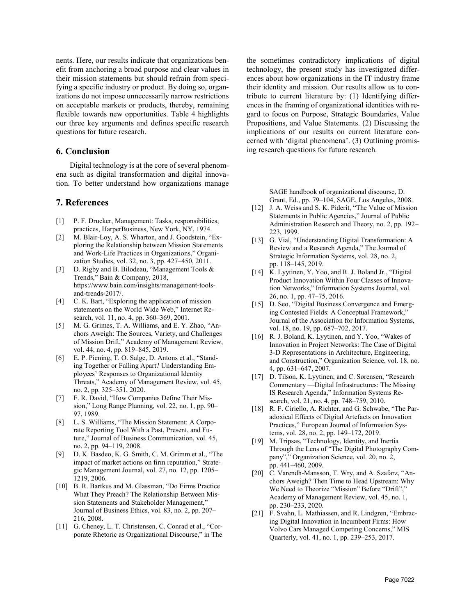nents. Here, our results indicate that organizations benefit from anchoring a broad purpose and clear values in their mission statements but should refrain from specifying a specific industry or product. By doing so, organizations do not impose unnecessarily narrow restrictions on acceptable markets or products, thereby, remaining flexible towards new opportunities. Table 4 highlights our three key arguments and defines specific research questions for future research.

#### **6. Conclusion**

Digital technology is at the core of several phenomena such as digital transformation and digital innovation. To better understand how organizations manage

### **7. References**

- [1] P. F. Drucker, Management: Tasks, responsibilities, practices, HarperBusiness, New York, NY, 1974.
- [2] M. Blair-Loy, A. S. Wharton, and J. Goodstein, "Exploring the Relationship between Mission Statements and Work-Life Practices in Organizations," Organization Studies, vol. 32, no. 3, pp. 427–450, 2011.
- [3] D. Rigby and B. Bilodeau, "Management Tools & Trends," Bain & Company, 2018, https://www.bain.com/insights/management-toolsand-trends-2017/.
- [4] C. K. Bart, "Exploring the application of mission statements on the World Wide Web," Internet Research, vol. 11, no. 4, pp. 360–369, 2001.
- [5] M. G. Grimes, T. A. Williams, and E. Y. Zhao, "Anchors Aweigh: The Sources, Variety, and Challenges of Mission Drift," Academy of Management Review, vol. 44, no. 4, pp. 819–845, 2019.
- [6] E. P. Piening, T. O. Salge, D. Antons et al., "Standing Together or Falling Apart? Understanding Employees' Responses to Organizational Identity Threats," Academy of Management Review, vol. 45, no. 2, pp. 325–351, 2020.
- [7] F. R. David, "How Companies Define Their Mission," Long Range Planning, vol. 22, no. 1, pp. 90– 97, 1989.
- [8] L. S. Williams, "The Mission Statement: A Corporate Reporting Tool With a Past, Present, and Future," Journal of Business Communication, vol. 45, no. 2, pp. 94–119, 2008.
- [9] D. K. Basdeo, K. G. Smith, C. M. Grimm et al., "The impact of market actions on firm reputation," Strategic Management Journal, vol. 27, no. 12, pp. 1205– 1219, 2006.
- [10] B. R. Bartkus and M. Glassman, "Do Firms Practice What They Preach? The Relationship Between Mission Statements and Stakeholder Management," Journal of Business Ethics, vol. 83, no. 2, pp. 207– 216, 2008.
- [11] G. Cheney, L. T. Christensen, C. Conrad et al., "Corporate Rhetoric as Organizational Discourse," in The

the sometimes contradictory implications of digital technology, the present study has investigated differences about how organizations in the IT industry frame their identity and mission. Our results allow us to contribute to current literature by: (1) Identifying differences in the framing of organizational identities with regard to focus on Purpose, Strategic Boundaries, Value Propositions, and Value Statements. (2) Discussing the implications of our results on current literature concerned with 'digital phenomena'. (3) Outlining promising research questions for future research.

> SAGE handbook of organizational discourse, D. Grant, Ed., pp. 79–104, SAGE, Los Angeles, 2008.

- [12] J. A. Weiss and S. K. Piderit, "The Value of Mission Statements in Public Agencies," Journal of Public Administration Research and Theory, no. 2, pp. 192– 223, 1999.
- [13] G. Vial, "Understanding Digital Transformation: A Review and a Research Agenda," The Journal of Strategic Information Systems, vol. 28, no. 2, pp. 118–145, 2019.
- [14] K. Lyytinen, Y. Yoo, and R. J. Boland Jr., "Digital Product Innovation Within Four Classes of Innovation Networks," Information Systems Journal, vol. 26, no. 1, pp. 47–75, 2016.
- [15] D. Seo, "Digital Business Convergence and Emerging Contested Fields: A Conceptual Framework," Journal of the Association for Information Systems, vol. 18, no. 19, pp. 687–702, 2017.
- [16] R. J. Boland, K. Lyytinen, and Y. Yoo, "Wakes of Innovation in Project Networks: The Case of Digital 3-D Representations in Architecture, Engineering, and Construction," Organization Science, vol. 18, no. 4, pp. 631–647, 2007.
- [17] D. Tilson, K. Lyytinen, and C. Sørensen, "Research" Commentary —Digital Infrastructures: The Missing IS Research Agenda," Information Systems Research, vol. 21, no. 4, pp. 748–759, 2010.
- [18] R. F. Ciriello, A. Richter, and G. Schwabe, "The Paradoxical Effects of Digital Artefacts on Innovation Practices," European Journal of Information Systems, vol. 28, no. 2, pp. 149–172, 2019.
- [19] M. Tripsas, "Technology, Identity, and Inertia Through the Lens of "The Digital Photography Company"," Organization Science, vol. 20, no. 2, pp. 441–460, 2009.
- [20] C. Varendh-Mansson, T. Wry, and A. Szafarz, "Anchors Aweigh? Then Time to Head Upstream: Why We Need to Theorize "Mission" Before "Drift"," Academy of Management Review, vol. 45, no. 1, pp. 230–233, 2020.
- [21] F. Svahn, L. Mathiassen, and R. Lindgren, "Embracing Digital Innovation in Incumbent Firms: How Volvo Cars Managed Competing Concerns," MIS Quarterly, vol. 41, no. 1, pp. 239–253, 2017.